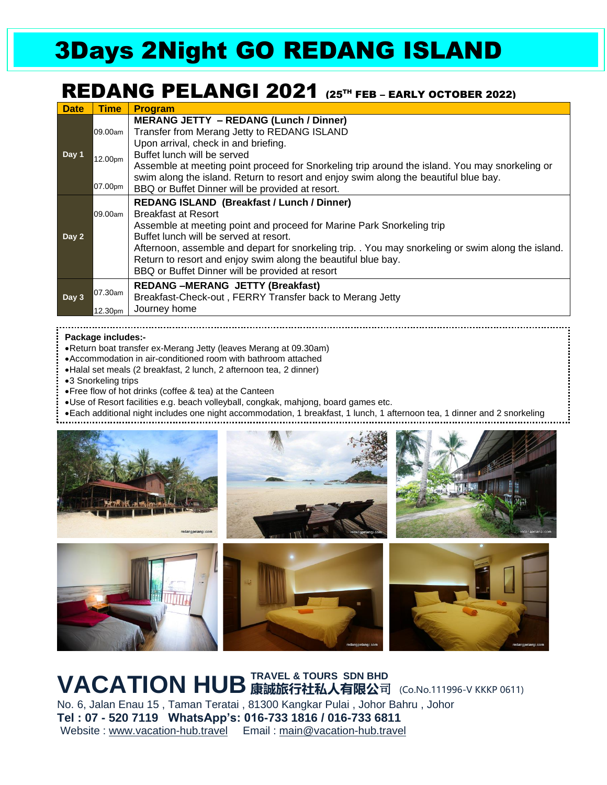# 3Days 2Night GO REDANG ISLAND

### REDANG PELANGI 2021 (25<sup>TH</sup> FEB – EARLY OCTOBER 2022)

| <b>Date</b> | <b>Time</b> | <b>Program</b>                                                                                                                                                                                                         |
|-------------|-------------|------------------------------------------------------------------------------------------------------------------------------------------------------------------------------------------------------------------------|
| Day 1       | 09.00am     | <b>MERANG JETTY - REDANG (Lunch / Dinner)</b><br>Transfer from Merang Jetty to REDANG ISLAND<br>Upon arrival, check in and briefing.                                                                                   |
|             | 12.00pm     | Buffet lunch will be served<br>Assemble at meeting point proceed for Snorkeling trip around the island. You may snorkeling or                                                                                          |
|             | 07.00pm     | swim along the island. Return to resort and enjoy swim along the beautiful blue bay.<br>BBQ or Buffet Dinner will be provided at resort.                                                                               |
| Day 2       |             | <b>REDANG ISLAND (Breakfast / Lunch / Dinner)</b>                                                                                                                                                                      |
|             | 09.00am     | <b>Breakfast at Resort</b>                                                                                                                                                                                             |
|             |             | Assemble at meeting point and proceed for Marine Park Snorkeling trip<br>Buffet lunch will be served at resort.                                                                                                        |
|             |             | Afternoon, assemble and depart for snorkeling trip. . You may snorkeling or swim along the island.<br>Return to resort and enjoy swim along the beautiful blue bay.<br>BBQ or Buffet Dinner will be provided at resort |
| Day 3       | 07.30am     | <b>REDANG-MERANG JETTY (Breakfast)</b><br>Breakfast-Check-out, FERRY Transfer back to Merang Jetty                                                                                                                     |
|             | 12.30pm     | Journey home                                                                                                                                                                                                           |

### **Package includes:-**

- •Return boat transfer ex-Merang Jetty (leaves Merang at 09.30am)
- •Accommodation in air-conditioned room with bathroom attached
- •Halal set meals (2 breakfast, 2 lunch, 2 afternoon tea, 2 dinner)
- •3 Snorkeling trips
- •Free flow of hot drinks (coffee & tea) at the Canteen
- •Use of Resort facilities e.g. beach volleyball, congkak, mahjong, board games etc.
- •Each additional night includes one night accommodation, 1 breakfast, 1 lunch, 1 afternoon tea, 1 dinner and 2 snorkeling



**VACATION HUB** 康誠旅行社私人有限公司 (Co.No.111996-V KKKP 0611) No. 6, Jalan Enau 15 , Taman Teratai , 81300 Kangkar Pulai , Johor Bahru , Johor **Tel : 07 - 520 7119 WhatsApp's: 016-733 1816 / 016-733 6811** Website : [www.vacation-hub.travel](http://www.vacation-hub.travel/) Email : main@vacation-hub.travel **TRAVEL & TOURS SDN BHD**